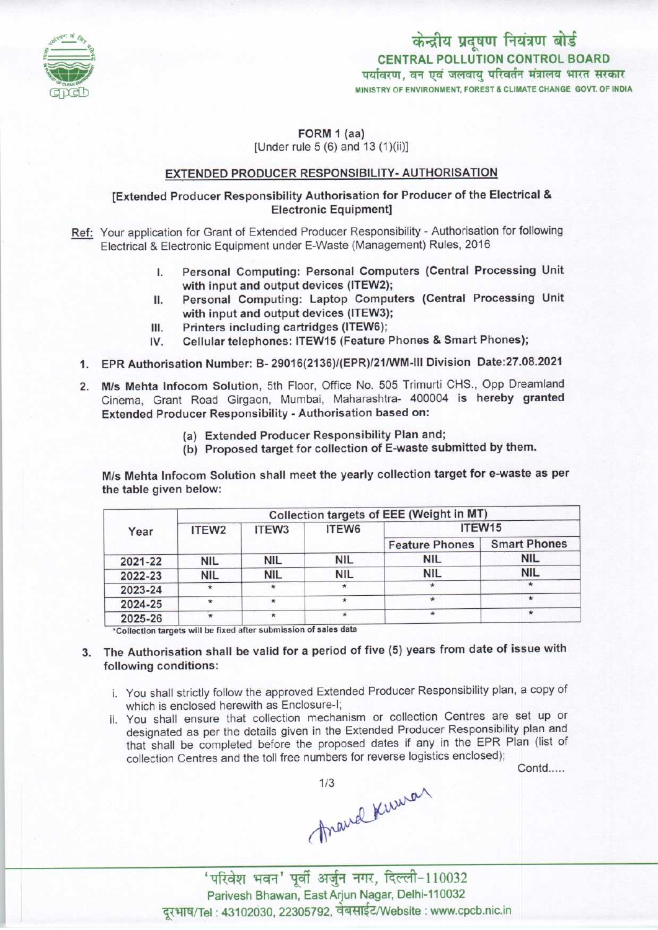

CENTRAL POLLUTION CONTROL BOARD<br>पर्यावरण, वन एवं जलवायु परिवर्तन मंत्रालय भारत सरकार MINISTRY OF ENVIRONMENT, FOREST & CLIMATE CHANGE GOVT. OF INDIA केन्द्रीय प्रदूषण नियंत्रण बोर्ड

## FORM 1 (aa) [Under rule 5 (6) and 13 (1)(ii)]

## EXTENDED PRODUCER RESPONSIBILITY- AUTHORISATION

# [Extended Producer Responsibility Authorisation for Producer of the Electrical & Electronic Equipment]

- Ref: Your application for Grant of Extended Producer Responsibility Authorisation for following Electrical & Electronic Equipment under E-Waste (Management) Rules, 2016
	- I. Personal Computing: Personal Computers (Central Processing Unit with input and output devices (ITEW2); I. Personal Computing: Personal Computers (Central Processing Unit<br>with input and output devices (ITEW2);<br>II. Personal Computing: Laptop Computers (Central Processing Unit<br>with input and output devices (ITEW3);
	- II. Personal Computing: Laptop Comp<br>with input and output devices (ITEW3)<br>III. Printers including cartridges (ITEW6);<br>IV. Cellular telephones: ITEW15 (Feature
	- with input and output devices (ITEW3);<br>Printers including cartridges (ITEW6);
	- III. Printers including cartridges (ITEW6);<br>IV. Cellular telephones: ITEW15 (Feature Phones & Smart Phones);
	- 1.EPR Authorisation Number: B- 29016(2136)/(EPR)/21/WM-lll Division Date:27.08.2021
	- 2.M/s Mehta Infocom Solution, 5th Floor, Office No. <sup>505</sup> Trimurti CHS., Opp Dreamland Cinema, Grant Road Girgaon, Mumbai, Maharashtra- 400004 is hereby granted Extended Producer Responsibility - Authorisation based on:
		- (a)Extended Producer Responsibility Plan and;
		- (b) Proposed target for collection of E-waste submitted by them.

M/s Mehta Infocom Solution shall meet the yearly collection target for e-waste as per the table given below:

| Year    | Collection targets of EEE (Weight in MT) |                   |            |                       |                     |
|---------|------------------------------------------|-------------------|------------|-----------------------|---------------------|
|         | ITEW <sub>2</sub>                        | ITEW <sub>3</sub> | ITEW6      | ITEW15                |                     |
|         |                                          |                   |            | <b>Feature Phones</b> | <b>Smart Phones</b> |
| 2021-22 | <b>NIL</b>                               | <b>NIL</b>        | <b>NIL</b> | <b>NIL</b>            | <b>NIL</b>          |
| 2022-23 | <b>NIL</b>                               | <b>NIL</b>        | <b>NIL</b> | <b>NIL</b>            | <b>NIL</b>          |
| 2023-24 |                                          | **                |            |                       |                     |
| 2024-25 | $\star$                                  | $\star$           |            |                       |                     |
| 2025-26 |                                          |                   | ÷          |                       | $\star$             |

\*Collection targets will be fixed after submission of sales data

# 3. The Authorisation shall be valid for a period of five (5) years from date of issue with following conditions:

- i. You shall strictly follow the approved Extended Producer Responsibility plan, a copy of which is enclosed herewith as Enclosure-I;
- ii. You shall ensure that collection mechanism or collection Centres are set up or designated as per the details given in the Extended Producer Responsibility plan and designated as per the details given in the Extended Frequency Repeated that shall be completed before the proposed dates if any in the EPR Plan (list of collection Centres and the toll free numbers for reverse logistics en

Contd.....

thand Kumar

'परिवेश भवन' पूर्वी अर्जुन नगर, दिल्ली-110032 Parivesh Bhawan, EastArjun Nagar, Delhi-110032 दूरभाष/Tel: 43102030, 22305792, वेबसाईट/Website : www.cpcb.nic.in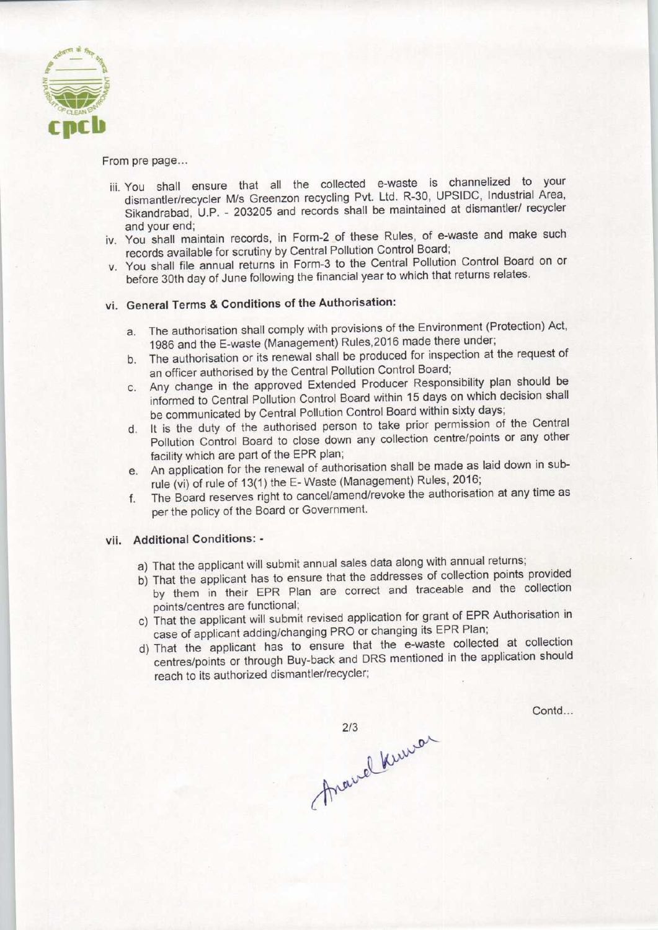

### From pre page...

- iii. You shall ensure that all the collected e-waste is channelized to your dismantler/recycler M/s Greenzon recycling Pvt. Ltd. R-30, UPSIDC, Industrial Area, Sikandrabad, U.P. - 203205 and records shall be maintained at dismantler/ recycler and your end;
- iv. You shall maintain records, in Form-2 of these Rules, of e-waste and make such records available for scrutiny by Central Pollution Control Board;
- v. You shall file annual returns in Form-3 to the Central Pollution Control Board on or before 30th day of June following the financial year to which that returns relates.

# vi. General Terms & Conditions of the Authorisation:

- a. The authorisation shall comply with provisions of the Environment (Protection) Act, 1986 and the E-waste (Management) Rules, 2016 made there under;
- b.The authorisation or its renewal shall be produced for inspection at the request of an officer authorised by the Central Pollution Control Board;
- c.Any change in the approved Extended Producer Responsibility plan should be informed to Central Pollution Control Board within 15 days on which decision shall be communicated by Central Pollution Control Board within sixty days;
- d. It is the duty of the authorised person to take prior permission of the Central Pollution Control Board to close down any collection centre/points or any other facility which are part of the EPR plan;
- e.An application for the renewal of authorisation shall be made aslaid down in subrule (vi) of rule of 13(1) the E-Waste (Management) Rules, 2016;
- f.The Board reserves right to cancel/amend/revoke the authorisation at any time as per the policy of the Board or Government.

## vii. Additional Conditions: -

- a) That the applicant will submit annual sales data along with annual returns;
- b)That the applicant has to ensure that the addresses of collection points provided by them in their EPR Plan are correct and traceable and the collection points/centres are functional;
- c) That the applicant will submit revised application for grant of EPR Authorisation in case of applicant adding/changing PRO or changing its EPR Plan;
- d)That the applicant has to ensure that the e-waste collected at collection centres/points or through Buy-back and DRS mentioned in the application should reach to its authorized dismantler/recycler;

Contd...

2/3<br>Arawel Kuwar